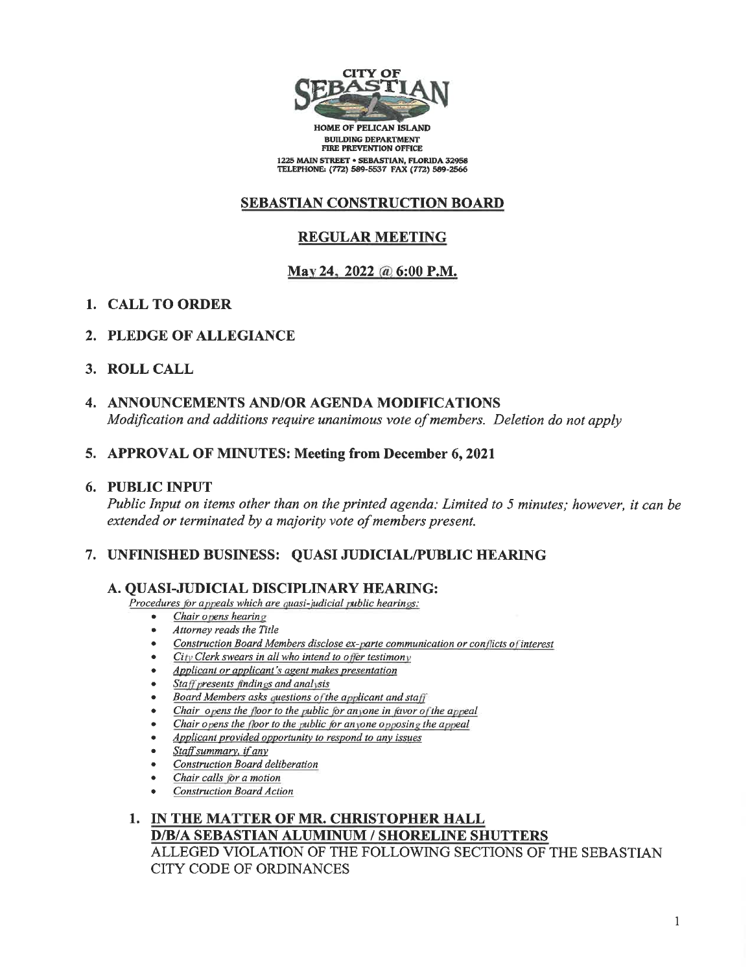

**HOME OF PELICAN ISLAND BUILDING DEPARTMENT** FIRE PREVENTION OFFICE 1225 MAIN STREET . SEBASTIAN, FLORIDA 32958 TELEPHONE: (772) 589-5537 FAX (772) 589-2566

# **SEBASTIAN CONSTRUCTION BOARD**

# **REGULAR MEETING**

# May 24, 2022 @ 6:00 P.M.

- 1. CALL TO ORDER
- 2. PLEDGE OF ALLEGIANCE
- 3. ROLL CALL
- 4. ANNOUNCEMENTS AND/OR AGENDA MODIFICATIONS Modification and additions require unanimous vote of members. Deletion do not apply

## 5. APPROVAL OF MINUTES: Meeting from December 6, 2021

## 6. PUBLIC INPUT

Public Input on items other than on the printed agenda: Limited to 5 minutes; however, it can be extended or terminated by a majority vote of members present.

# 7. UNFINISHED BUSINESS: QUASI JUDICIAL/PUBLIC HEARING

## A. QUASI-JUDICIAL DISCIPLINARY HEARING:

Procedures for appeals which are quasi-judicial public hearings:

- Chair opens hearing
- Attorney reads the Title
- Construction Board Members disclose ex-parte communication or conflicts of interest
- City Clerk swears in all who intend to offer testimony
- Applicant or applicant's agent makes presentation
- Staff presents findings and analysis
- Board Members asks questions of the applicant and staff
- Chair opens the floor to the public for anyone in favor of the appeal
- Chair opens the floor to the public for anyone opposing the appeal
- Applicant provided opportunity to respond to any issues
- Staff summary, if any
- **Construction Board deliberation**
- Chair calls for a motion
- **Construction Board Action**

## 1. IN THE MATTER OF MR. CHRISTOPHER HALL **D/B/A SEBASTIAN ALUMINUM / SHORELINE SHUTTERS** ALLEGED VIOLATION OF THE FOLLOWING SECTIONS OF THE SEBASTIAN CITY CODE OF ORDINANCES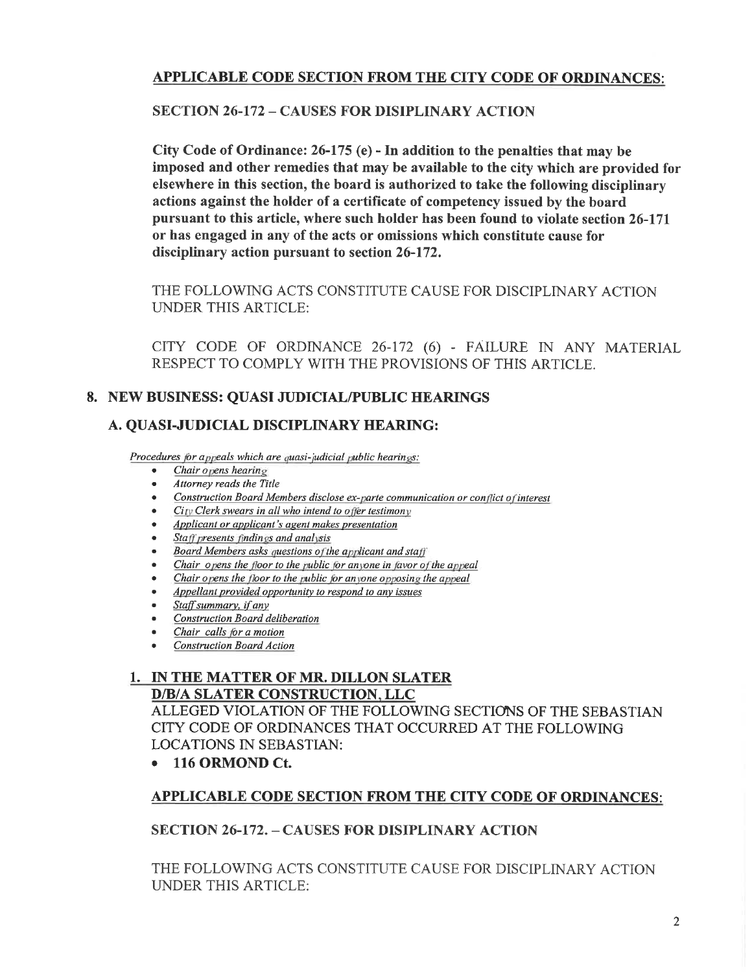# **APPLICABLE CODE SECTION FROM THE CITY CODE OF ORDINANCES:**

# **SECTION 26-172 - CAUSES FOR DISIPLINARY ACTION**

City Code of Ordinance: 26-175 (e) - In addition to the penalties that may be imposed and other remedies that may be available to the city which are provided for elsewhere in this section, the board is authorized to take the following disciplinary actions against the holder of a certificate of competency issued by the board pursuant to this article, where such holder has been found to violate section 26-171 or has engaged in any of the acts or omissions which constitute cause for disciplinary action pursuant to section 26-172.

THE FOLLOWING ACTS CONSTITUTE CAUSE FOR DISCIPLINARY ACTION **UNDER THIS ARTICLE:** 

CITY CODE OF ORDINANCE 26-172 (6) - FAILURE IN ANY MATERIAL RESPECT TO COMPLY WITH THE PROVISIONS OF THIS ARTICLE.

# 8. NEW BUSINESS: QUASI JUDICIAL/PUBLIC HEARINGS

# A. QUASI-JUDICIAL DISCIPLINARY HEARING:

Procedures for appeals which are quasi-judicial public hearings:

- $\bullet$  Chair opens hearing
- Attorney reads the Title
- Construction Board Members disclose ex-parte communication or conflict of interest
- $\bullet$  . City Clerk swears in all who intend to offer testimony
- $\bullet$ Applicant or applicant's agent makes presentation
- $\bullet$ Staff presents findings and analysis
- Board Members asks questions of the applicant and staff  $\bullet$
- Chair opens the floor to the public for anyone in favor of the appeal  $\bullet$
- Chair opens the floor to the public for anyone opposing the appeal  $\bullet$
- Appellant provided opportunity to respond to any issues  $\bullet$
- Staff summary, if any  $\bullet$
- Construction Board deliberation  $\bullet$
- Chair calls for a motion  $\bullet$
- **Construction Board Action**

## 1. IN THE MATTER OF MR. DILLON SLATER **D/B/A SLATER CONSTRUCTION, LLC**

ALLEGED VIOLATION OF THE FOLLOWING SECTIONS OF THE SEBASTIAN CITY CODE OF ORDINANCES THAT OCCURRED AT THE FOLLOWING **LOCATIONS IN SEBASTIAN:** 

• 116 ORMOND Ct.

# **APPLICABLE CODE SECTION FROM THE CITY CODE OF ORDINANCES:**

# **SECTION 26-172. - CAUSES FOR DISIPLINARY ACTION**

THE FOLLOWING ACTS CONSTITUTE CAUSE FOR DISCIPLINARY ACTION **UNDER THIS ARTICLE:**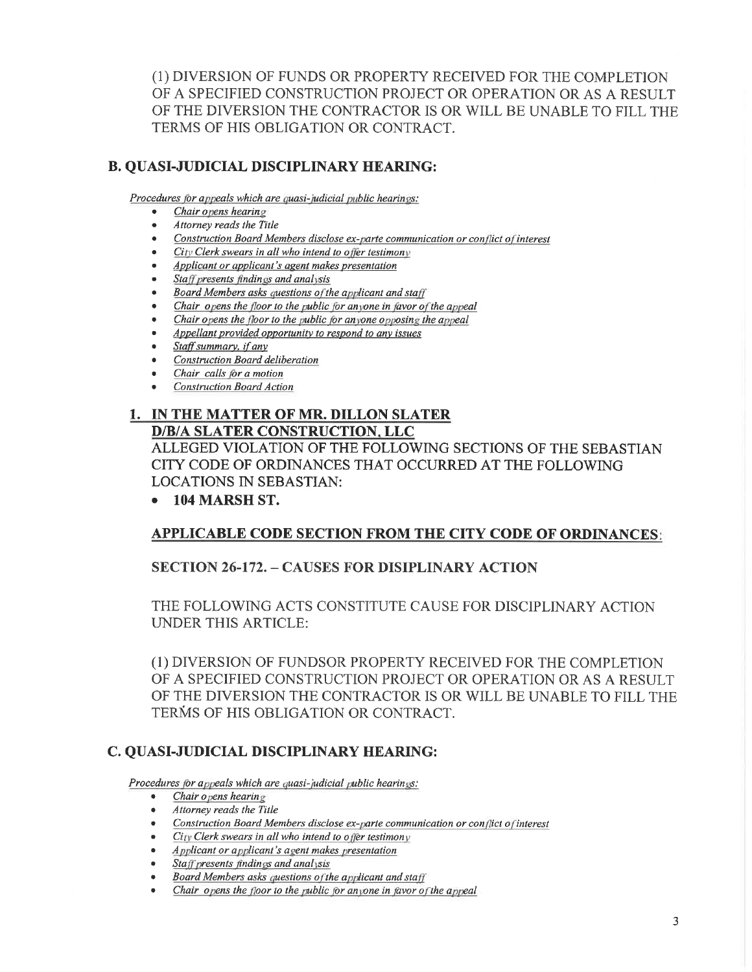(1) DIVERSION OF FUNDS OR PROPERTY RECEIVED FOR THE COMPLETION OF A SPECIFIED CONSTRUCTION PROJECT OR OPERATION OR AS A RESULT OF THE DIVERSION THE CONTRACTOR IS OR WILL BE UNABLE TO FILL THE TERMS OF HIS OBLIGATION OR CONTRACT.

# **B. QUASI-JUDICIAL DISCIPLINARY HEARING:**

Procedures for appeals which are quasi-judicial public hearings:

- Chair opens hearing
- Attorney reads the Title
- Construction Board Members disclose ex-parte communication or conflict of interest
- City Clerk swears in all who intend to offer testimony
- Applicant or applicant's agent makes presentation
- Staff presents findings and analysis
- Board Members asks questions of the applicant and staff  $\bullet$
- Chair opens the floor to the public for anyone in favor of the appeal  $\bullet$
- Chair opens the floor to the public for anyone opposing the appeal  $\bullet$
- Appellant provided opportunity to respond to any issues  $\bullet$
- Staff summary, if any
- **Construction Board deliberation**
- Chair calls for a motion
- **Construction Board Action**

#### 1. IN THE MATTER OF MR. DILLON SLATER **D/B/A SLATER CONSTRUCTION, LLC**

ALLEGED VIOLATION OF THE FOLLOWING SECTIONS OF THE SEBASTIAN CITY CODE OF ORDINANCES THAT OCCURRED AT THE FOLLOWING **LOCATIONS IN SEBASTIAN:** 

# $\bullet$  104 MARSH ST.

# **APPLICABLE CODE SECTION FROM THE CITY CODE OF ORDINANCES:**

# **SECTION 26-172. - CAUSES FOR DISIPLINARY ACTION**

THE FOLLOWING ACTS CONSTITUTE CAUSE FOR DISCIPLINARY ACTION **UNDER THIS ARTICLE:** 

(1) DIVERSION OF FUNDSOR PROPERTY RECEIVED FOR THE COMPLETION OF A SPECIFIED CONSTRUCTION PROJECT OR OPERATION OR AS A RESULT OF THE DIVERSION THE CONTRACTOR IS OR WILL BE UNABLE TO FILL THE TERMS OF HIS OBLIGATION OR CONTRACT.

# C. QUASI-JUDICIAL DISCIPLINARY HEARING:

Procedures for appeals which are quasi-judicial public hearings:

- Chair opens hearing
- Attorney reads the Title  $\bullet$
- Construction Board Members disclose ex-parte communication or conflict of interest
- City Clerk swears in all who intend to offer testimony
- Applicant or applicant's agent makes presentation
- Staff presents findings and analysis
- Board Members asks questions of the applicant and staff
- Chair opens the floor to the public for anyone in favor of the appeal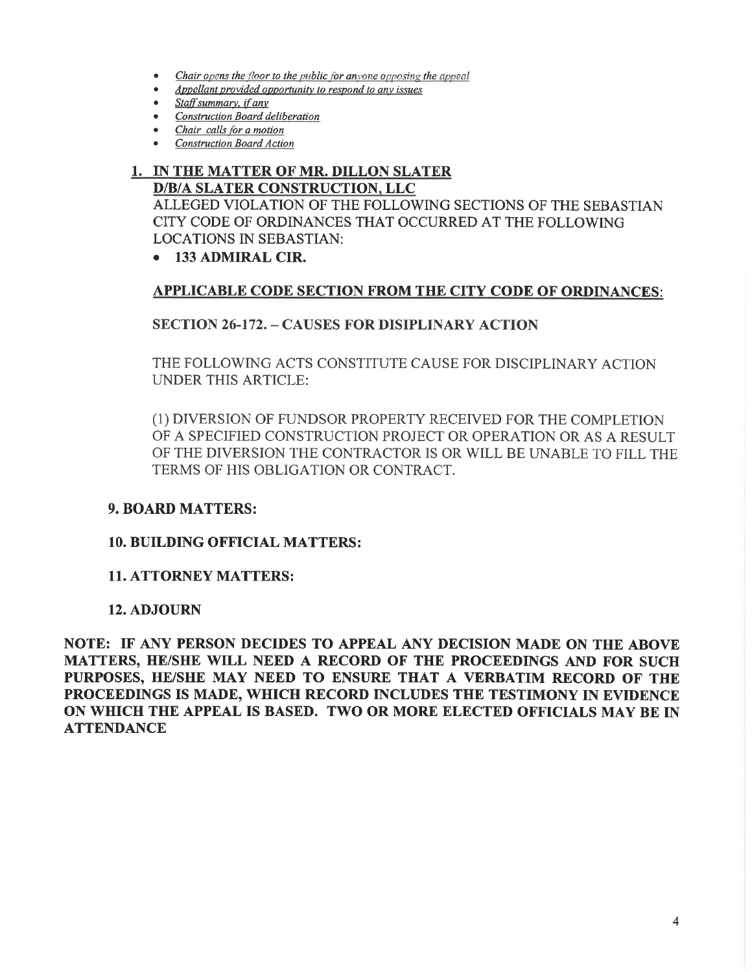- Chair opens the floor to the public for anyone opposing the appeal
- Appellant provided opportunity to respond to any issues
- Staff summary, if any
- Construction Board deliberation
- Chair calls for a motion
- **Construction Board Action**

#### 1. IN THE MATTER OF MR. DILLON SLATER **D/B/A SLATER CONSTRUCTION, LLC**

ALLEGED VIOLATION OF THE FOLLOWING SECTIONS OF THE SEBASTIAN CITY CODE OF ORDINANCES THAT OCCURRED AT THE FOLLOWING **LOCATIONS IN SEBASTIAN:** 

• 133 ADMIRAL CIR.

## APPLICABLE CODE SECTION FROM THE CITY CODE OF ORDINANCES:

## **SECTION 26-172. - CAUSES FOR DISIPLINARY ACTION**

THE FOLLOWING ACTS CONSTITUTE CAUSE FOR DISCIPLINARY ACTION UNDER THIS ARTICLE:

(1) DIVERSION OF FUNDSOR PROPERTY RECEIVED FOR THE COMPLETION OF A SPECIFIED CONSTRUCTION PROJECT OR OPERATION OR AS A RESULT OF THE DIVERSION THE CONTRACTOR IS OR WILL BE UNABLE TO FILL THE TERMS OF HIS OBLIGATION OR CONTRACT.

## **9. BOARD MATTERS:**

#### **10. BUILDING OFFICIAL MATTERS:**

## **11. ATTORNEY MATTERS:**

#### **12. ADJOURN**

NOTE: IF ANY PERSON DECIDES TO APPEAL ANY DECISION MADE ON THE ABOVE MATTERS, HE/SHE WILL NEED A RECORD OF THE PROCEEDINGS AND FOR SUCH PURPOSES, HE/SHE MAY NEED TO ENSURE THAT A VERBATIM RECORD OF THE PROCEEDINGS IS MADE, WHICH RECORD INCLUDES THE TESTIMONY IN EVIDENCE ON WHICH THE APPEAL IS BASED. TWO OR MORE ELECTED OFFICIALS MAY BE IN **ATTENDANCE**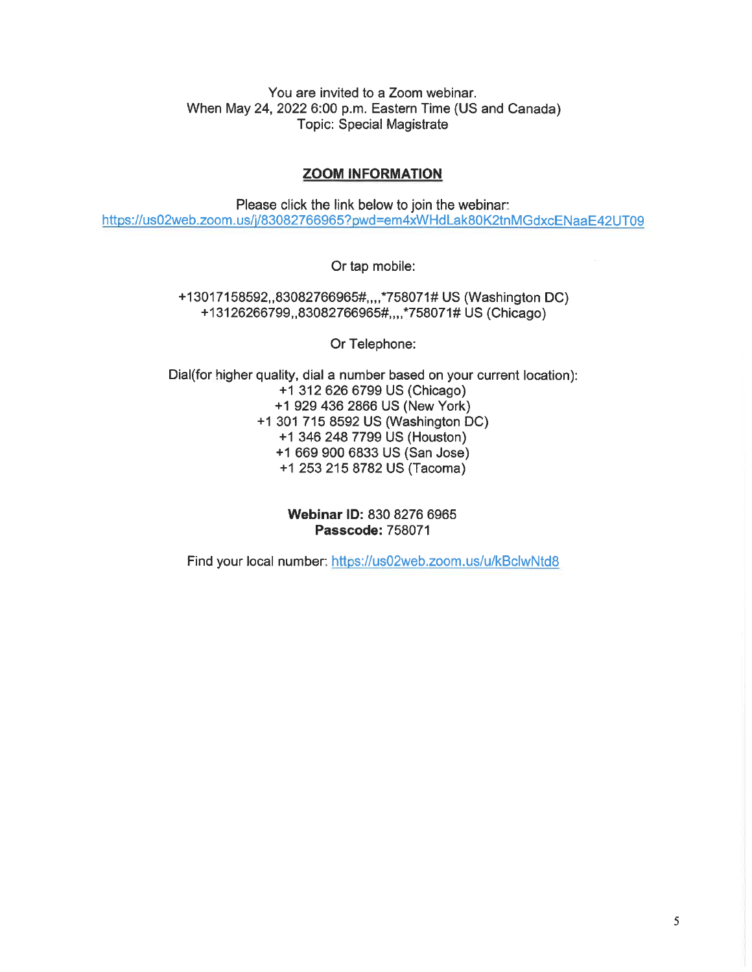You are invited to a Zoom webinar. When May 24, 2022 6:00 p.m. Eastern Time (US and Canada) **Topic: Special Magistrate** 

#### **ZOOM INFORMATION**

Please click the link below to join the webinar: https://us02web.zoom.us/j/83082766965?pwd=em4xWHdLak80K2tnMGdxcENaaE42UT09

Or tap mobile:

+13017158592,,83082766965#,,,,\*758071# US (Washington DC) +13126266799, 83082766965#, ...\* 758071# US (Chicago)

Or Telephone:

Dial(for higher quality, dial a number based on your current location): +1 312 626 6799 US (Chicago) +1 929 436 2866 US (New York) +1 301 715 8592 US (Washington DC) +1 346 248 7799 US (Houston) +1 669 900 6833 US (San Jose) +1 253 215 8782 US (Tacoma)

> Webinar ID: 830 8276 6965 **Passcode: 758071**

Find your local number: https://us02web.zoom.us/u/kBclwNtd8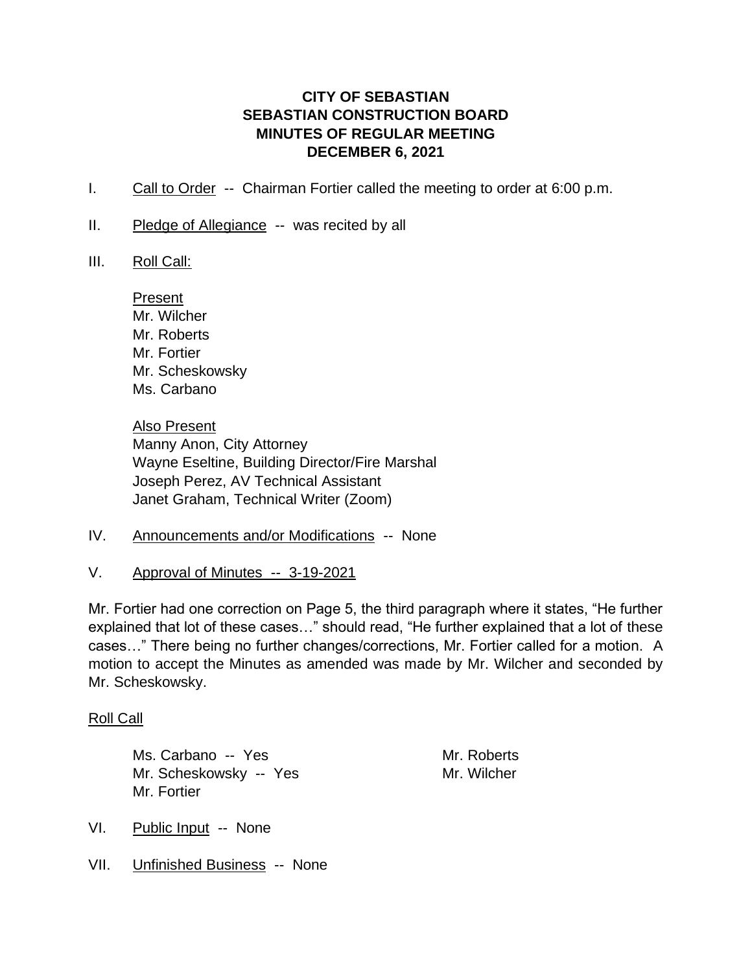# **CITY OF SEBASTIAN SEBASTIAN CONSTRUCTION BOARD MINUTES OF REGULAR MEETING DECEMBER 6, 2021**

- I. Call to Order -- Chairman Fortier called the meeting to order at 6:00 p.m.
- II. Pledge of Allegiance -- was recited by all
- III. Roll Call:

Present Mr. Wilcher Mr. Roberts Mr. Fortier Mr. Scheskowsky Ms. Carbano

Also Present Manny Anon, City Attorney Wayne Eseltine, Building Director/Fire Marshal Joseph Perez, AV Technical Assistant Janet Graham, Technical Writer (Zoom)

- IV. Announcements and/or Modifications -- None
- V. Approval of Minutes -- 3-19-2021

Mr. Fortier had one correction on Page 5, the third paragraph where it states, "He further explained that lot of these cases…" should read, "He further explained that a lot of these cases…" There being no further changes/corrections, Mr. Fortier called for a motion. A motion to accept the Minutes as amended was made by Mr. Wilcher and seconded by Mr. Scheskowsky.

# Roll Call

Ms. Carbano -- Yes Mr. Roberts Mr. Scheskowsky -- Yes Mr. Wilcher Mr. Fortier

- VI. Public Input -- None
- VII. Unfinished Business -- None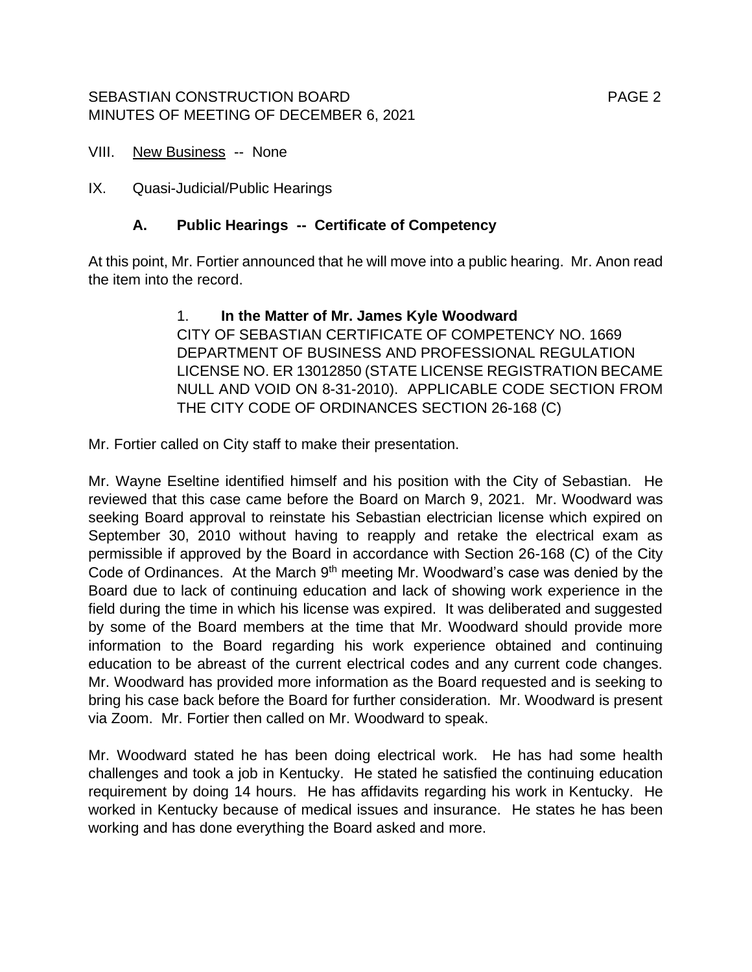# SEBASTIAN CONSTRUCTION BOARD FOR THE RESERVE THAN A PAGE 2 MINUTES OF MEETING OF DECEMBER 6, 2021

VIII. New Business -- None

IX. Quasi-Judicial/Public Hearings

# **A. Public Hearings -- Certificate of Competency**

At this point, Mr. Fortier announced that he will move into a public hearing. Mr. Anon read the item into the record.

# 1. **In the Matter of Mr. James Kyle Woodward** CITY OF SEBASTIAN CERTIFICATE OF COMPETENCY NO. 1669 DEPARTMENT OF BUSINESS AND PROFESSIONAL REGULATION LICENSE NO. ER 13012850 (STATE LICENSE REGISTRATION BECAME NULL AND VOID ON 8-31-2010). APPLICABLE CODE SECTION FROM THE CITY CODE OF ORDINANCES SECTION 26-168 (C)

Mr. Fortier called on City staff to make their presentation.

Mr. Wayne Eseltine identified himself and his position with the City of Sebastian. He reviewed that this case came before the Board on March 9, 2021. Mr. Woodward was seeking Board approval to reinstate his Sebastian electrician license which expired on September 30, 2010 without having to reapply and retake the electrical exam as permissible if approved by the Board in accordance with Section 26-168 (C) of the City Code of Ordinances. At the March  $9<sup>th</sup>$  meeting Mr. Woodward's case was denied by the Board due to lack of continuing education and lack of showing work experience in the field during the time in which his license was expired. It was deliberated and suggested by some of the Board members at the time that Mr. Woodward should provide more information to the Board regarding his work experience obtained and continuing education to be abreast of the current electrical codes and any current code changes. Mr. Woodward has provided more information as the Board requested and is seeking to bring his case back before the Board for further consideration. Mr. Woodward is present via Zoom. Mr. Fortier then called on Mr. Woodward to speak.

Mr. Woodward stated he has been doing electrical work. He has had some health challenges and took a job in Kentucky. He stated he satisfied the continuing education requirement by doing 14 hours. He has affidavits regarding his work in Kentucky. He worked in Kentucky because of medical issues and insurance. He states he has been working and has done everything the Board asked and more.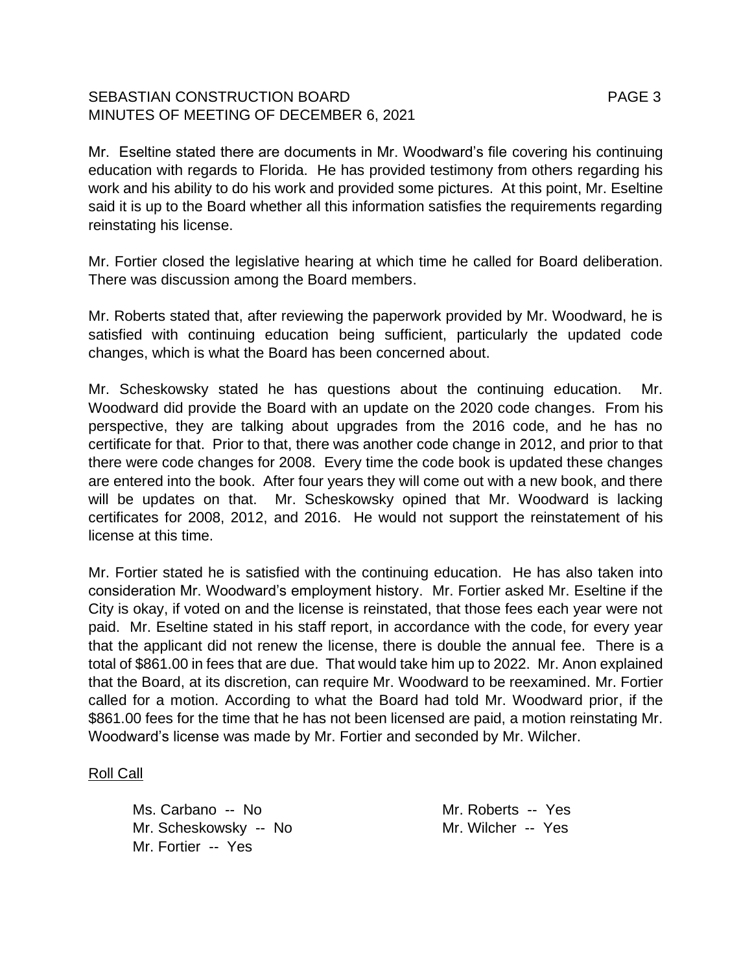# SEBASTIAN CONSTRUCTION BOARD FAGE 3 MINUTES OF MEETING OF DECEMBER 6, 2021

Mr. Eseltine stated there are documents in Mr. Woodward's file covering his continuing education with regards to Florida. He has provided testimony from others regarding his work and his ability to do his work and provided some pictures. At this point, Mr. Eseltine said it is up to the Board whether all this information satisfies the requirements regarding reinstating his license.

Mr. Fortier closed the legislative hearing at which time he called for Board deliberation. There was discussion among the Board members.

Mr. Roberts stated that, after reviewing the paperwork provided by Mr. Woodward, he is satisfied with continuing education being sufficient, particularly the updated code changes, which is what the Board has been concerned about.

Mr. Scheskowsky stated he has questions about the continuing education. Mr. Woodward did provide the Board with an update on the 2020 code changes. From his perspective, they are talking about upgrades from the 2016 code, and he has no certificate for that. Prior to that, there was another code change in 2012, and prior to that there were code changes for 2008. Every time the code book is updated these changes are entered into the book. After four years they will come out with a new book, and there will be updates on that. Mr. Scheskowsky opined that Mr. Woodward is lacking certificates for 2008, 2012, and 2016. He would not support the reinstatement of his license at this time.

Mr. Fortier stated he is satisfied with the continuing education. He has also taken into consideration Mr. Woodward's employment history. Mr. Fortier asked Mr. Eseltine if the City is okay, if voted on and the license is reinstated, that those fees each year were not paid. Mr. Eseltine stated in his staff report, in accordance with the code, for every year that the applicant did not renew the license, there is double the annual fee. There is a total of \$861.00 in fees that are due. That would take him up to 2022. Mr. Anon explained that the Board, at its discretion, can require Mr. Woodward to be reexamined. Mr. Fortier called for a motion. According to what the Board had told Mr. Woodward prior, if the \$861.00 fees for the time that he has not been licensed are paid, a motion reinstating Mr. Woodward's license was made by Mr. Fortier and seconded by Mr. Wilcher.

## Roll Call

Ms. Carbano -- No Mr. Roberts -- Yes Mr. Scheskowsky -- No Mr. Wilcher -- Yes Mr. Fortier -- Yes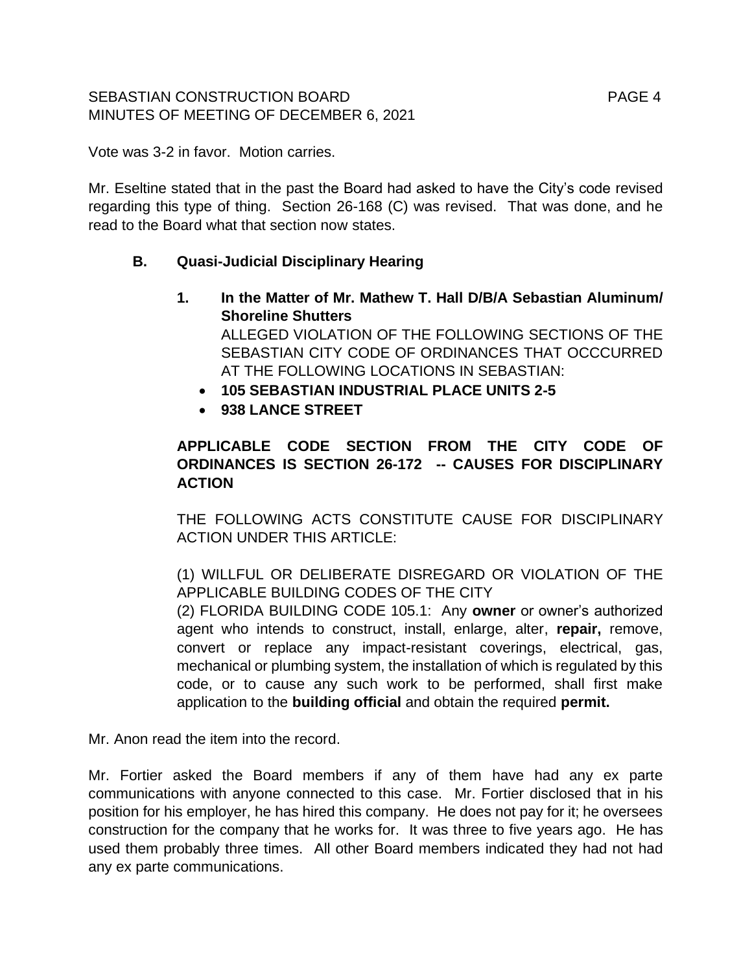# SEBASTIAN CONSTRUCTION BOARD FOR THE RESERVE THAN THE PAGE 4 MINUTES OF MEETING OF DECEMBER 6, 2021

Vote was 3-2 in favor. Motion carries.

Mr. Eseltine stated that in the past the Board had asked to have the City's code revised regarding this type of thing. Section 26-168 (C) was revised. That was done, and he read to the Board what that section now states.

# **B. Quasi-Judicial Disciplinary Hearing**

- **1. In the Matter of Mr. Mathew T. Hall D/B/A Sebastian Aluminum/ Shoreline Shutters** ALLEGED VIOLATION OF THE FOLLOWING SECTIONS OF THE SEBASTIAN CITY CODE OF ORDINANCES THAT OCCCURRED AT THE FOLLOWING LOCATIONS IN SEBASTIAN:
	- **105 SEBASTIAN INDUSTRIAL PLACE UNITS 2-5**
	- **938 LANCE STREET**

# **APPLICABLE CODE SECTION FROM THE CITY CODE OF ORDINANCES IS SECTION 26-172 -- CAUSES FOR DISCIPLINARY ACTION**

THE FOLLOWING ACTS CONSTITUTE CAUSE FOR DISCIPLINARY ACTION UNDER THIS ARTICLE:

(1) WILLFUL OR DELIBERATE DISREGARD OR VIOLATION OF THE APPLICABLE BUILDING CODES OF THE CITY (2) FLORIDA BUILDING CODE 105.1: Any **owner** or owner's authorized agent who intends to construct, install, enlarge, alter, **repair,** remove, convert or replace any impact-resistant coverings, electrical, gas, mechanical or plumbing system, the installation of which is regulated by this code, or to cause any such work to be performed, shall first make application to the **building official** and obtain the required **permit.**

Mr. Anon read the item into the record.

Mr. Fortier asked the Board members if any of them have had any ex parte communications with anyone connected to this case. Mr. Fortier disclosed that in his position for his employer, he has hired this company. He does not pay for it; he oversees construction for the company that he works for. It was three to five years ago. He has used them probably three times. All other Board members indicated they had not had any ex parte communications.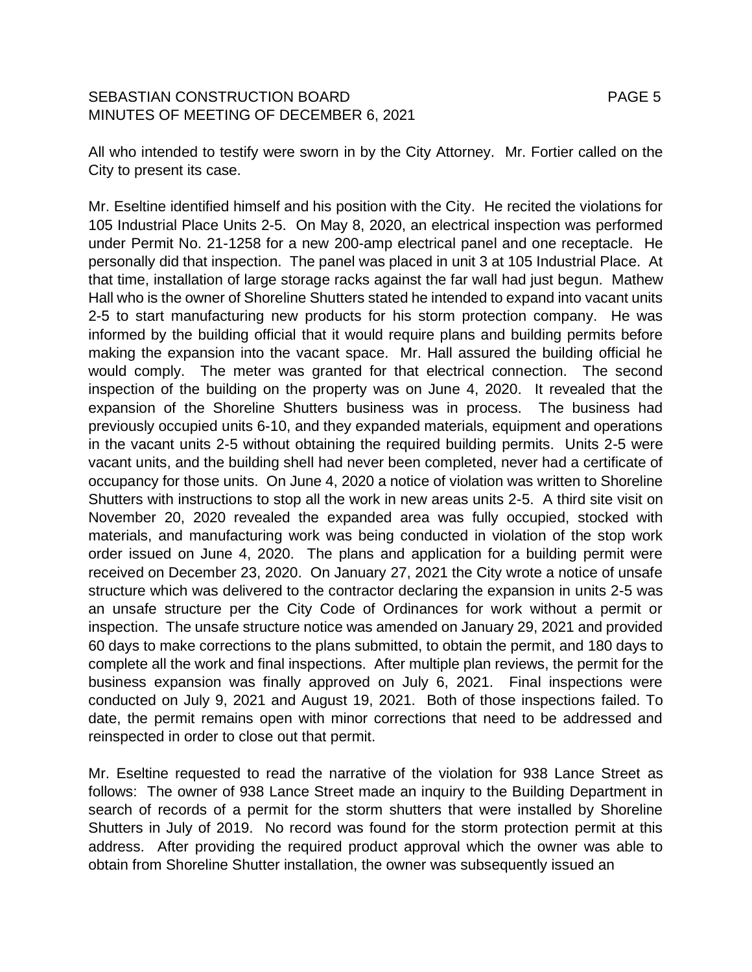# SEBASTIAN CONSTRUCTION BOARD FOR THE RESERVE THAN THE PAGE 5 MINUTES OF MEETING OF DECEMBER 6, 2021

All who intended to testify were sworn in by the City Attorney. Mr. Fortier called on the City to present its case.

Mr. Eseltine identified himself and his position with the City. He recited the violations for 105 Industrial Place Units 2-5. On May 8, 2020, an electrical inspection was performed under Permit No. 21-1258 for a new 200-amp electrical panel and one receptacle. He personally did that inspection. The panel was placed in unit 3 at 105 Industrial Place. At that time, installation of large storage racks against the far wall had just begun. Mathew Hall who is the owner of Shoreline Shutters stated he intended to expand into vacant units 2-5 to start manufacturing new products for his storm protection company. He was informed by the building official that it would require plans and building permits before making the expansion into the vacant space. Mr. Hall assured the building official he would comply. The meter was granted for that electrical connection. The second inspection of the building on the property was on June 4, 2020. It revealed that the expansion of the Shoreline Shutters business was in process. The business had previously occupied units 6-10, and they expanded materials, equipment and operations in the vacant units 2-5 without obtaining the required building permits. Units 2-5 were vacant units, and the building shell had never been completed, never had a certificate of occupancy for those units. On June 4, 2020 a notice of violation was written to Shoreline Shutters with instructions to stop all the work in new areas units 2-5. A third site visit on November 20, 2020 revealed the expanded area was fully occupied, stocked with materials, and manufacturing work was being conducted in violation of the stop work order issued on June 4, 2020. The plans and application for a building permit were received on December 23, 2020. On January 27, 2021 the City wrote a notice of unsafe structure which was delivered to the contractor declaring the expansion in units 2-5 was an unsafe structure per the City Code of Ordinances for work without a permit or inspection. The unsafe structure notice was amended on January 29, 2021 and provided 60 days to make corrections to the plans submitted, to obtain the permit, and 180 days to complete all the work and final inspections. After multiple plan reviews, the permit for the business expansion was finally approved on July 6, 2021. Final inspections were conducted on July 9, 2021 and August 19, 2021. Both of those inspections failed. To date, the permit remains open with minor corrections that need to be addressed and reinspected in order to close out that permit.

Mr. Eseltine requested to read the narrative of the violation for 938 Lance Street as follows: The owner of 938 Lance Street made an inquiry to the Building Department in search of records of a permit for the storm shutters that were installed by Shoreline Shutters in July of 2019. No record was found for the storm protection permit at this address. After providing the required product approval which the owner was able to obtain from Shoreline Shutter installation, the owner was subsequently issued an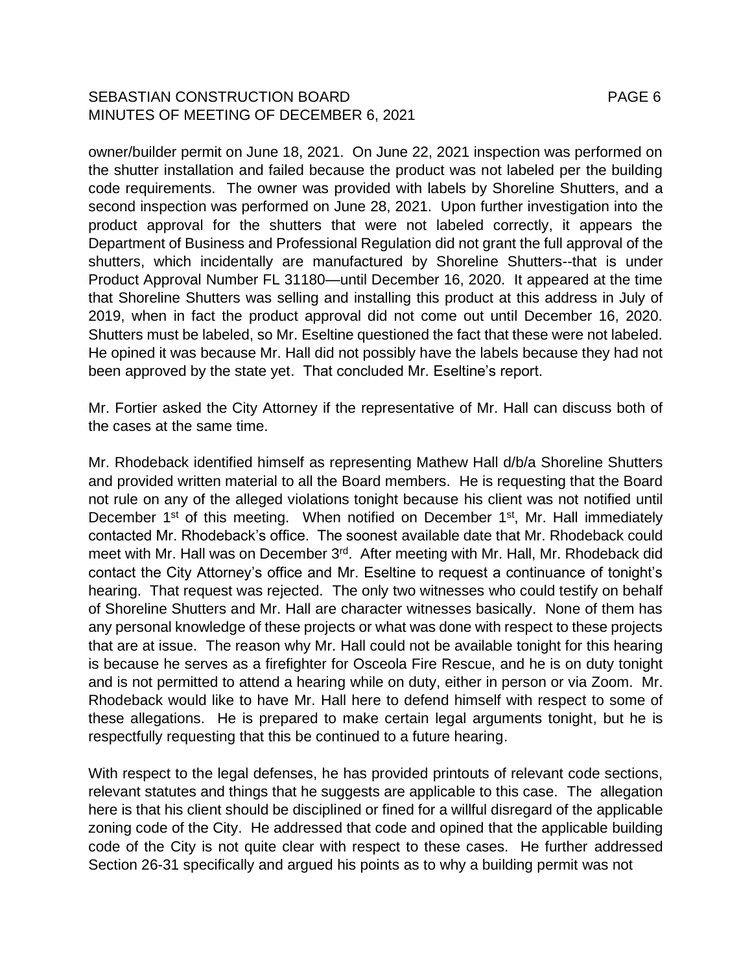# SEBASTIAN CONSTRUCTION BOARD FOR THE RESERVE THAN THE PAGE 6 MINUTES OF MEETING OF DECEMBER 6, 2021

owner/builder permit on June 18, 2021. On June 22, 2021 inspection was performed on the shutter installation and failed because the product was not labeled per the building code requirements. The owner was provided with labels by Shoreline Shutters, and a second inspection was performed on June 28, 2021. Upon further investigation into the product approval for the shutters that were not labeled correctly, it appears the Department of Business and Professional Regulation did not grant the full approval of the shutters, which incidentally are manufactured by Shoreline Shutters--that is under Product Approval Number FL 31180—until December 16, 2020. It appeared at the time that Shoreline Shutters was selling and installing this product at this address in July of 2019, when in fact the product approval did not come out until December 16, 2020. Shutters must be labeled, so Mr. Eseltine questioned the fact that these were not labeled. He opined it was because Mr. Hall did not possibly have the labels because they had not been approved by the state yet. That concluded Mr. Eseltine's report.

Mr. Fortier asked the City Attorney if the representative of Mr. Hall can discuss both of the cases at the same time.

Mr. Rhodeback identified himself as representing Mathew Hall d/b/a Shoreline Shutters and provided written material to all the Board members. He is requesting that the Board not rule on any of the alleged violations tonight because his client was not notified until December 1<sup>st</sup> of this meeting. When notified on December 1<sup>st</sup>, Mr. Hall immediately contacted Mr. Rhodeback's office. The soonest available date that Mr. Rhodeback could meet with Mr. Hall was on December 3<sup>rd</sup>. After meeting with Mr. Hall, Mr. Rhodeback did contact the City Attorney's office and Mr. Eseltine to request a continuance of tonight's hearing. That request was rejected. The only two witnesses who could testify on behalf of Shoreline Shutters and Mr. Hall are character witnesses basically. None of them has any personal knowledge of these projects or what was done with respect to these projects that are at issue. The reason why Mr. Hall could not be available tonight for this hearing is because he serves as a firefighter for Osceola Fire Rescue, and he is on duty tonight and is not permitted to attend a hearing while on duty, either in person or via Zoom. Mr. Rhodeback would like to have Mr. Hall here to defend himself with respect to some of these allegations. He is prepared to make certain legal arguments tonight, but he is respectfully requesting that this be continued to a future hearing.

With respect to the legal defenses, he has provided printouts of relevant code sections, relevant statutes and things that he suggests are applicable to this case. The allegation here is that his client should be disciplined or fined for a willful disregard of the applicable zoning code of the City. He addressed that code and opined that the applicable building code of the City is not quite clear with respect to these cases. He further addressed Section 26-31 specifically and argued his points as to why a building permit was not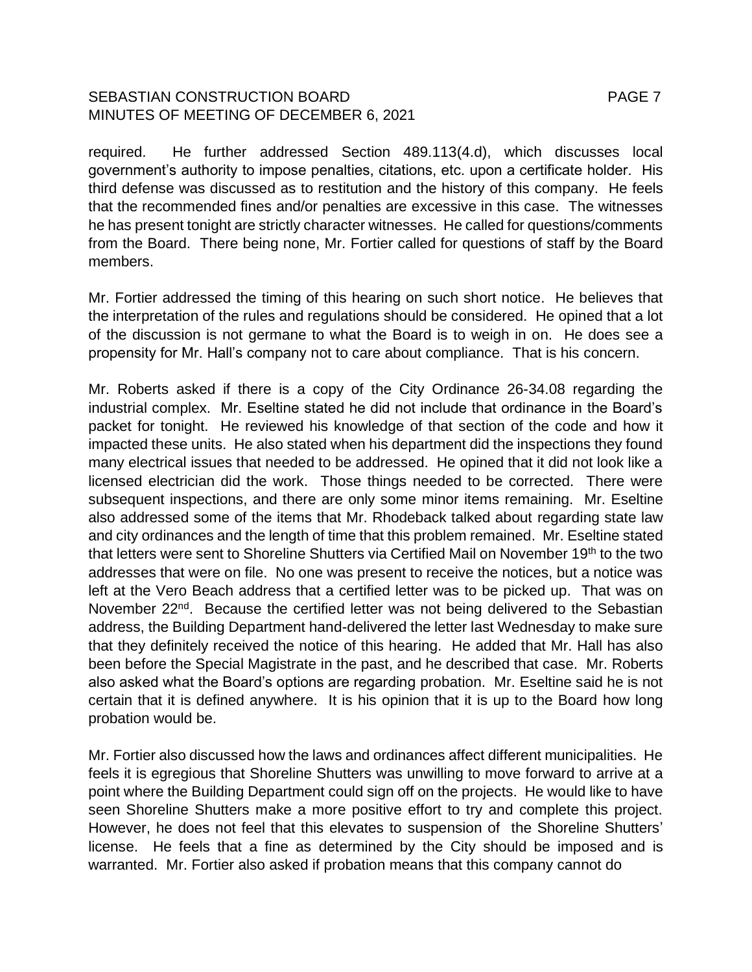# SEBASTIAN CONSTRUCTION BOARD FOR THE RESERVE THAN A PAGE 7 MINUTES OF MEETING OF DECEMBER 6, 2021

required. He further addressed Section 489.113(4.d), which discusses local government's authority to impose penalties, citations, etc. upon a certificate holder. His third defense was discussed as to restitution and the history of this company. He feels that the recommended fines and/or penalties are excessive in this case. The witnesses he has present tonight are strictly character witnesses. He called for questions/comments from the Board. There being none, Mr. Fortier called for questions of staff by the Board members.

Mr. Fortier addressed the timing of this hearing on such short notice. He believes that the interpretation of the rules and regulations should be considered. He opined that a lot of the discussion is not germane to what the Board is to weigh in on. He does see a propensity for Mr. Hall's company not to care about compliance. That is his concern.

Mr. Roberts asked if there is a copy of the City Ordinance 26-34.08 regarding the industrial complex. Mr. Eseltine stated he did not include that ordinance in the Board's packet for tonight. He reviewed his knowledge of that section of the code and how it impacted these units. He also stated when his department did the inspections they found many electrical issues that needed to be addressed. He opined that it did not look like a licensed electrician did the work. Those things needed to be corrected. There were subsequent inspections, and there are only some minor items remaining. Mr. Eseltine also addressed some of the items that Mr. Rhodeback talked about regarding state law and city ordinances and the length of time that this problem remained. Mr. Eseltine stated that letters were sent to Shoreline Shutters via Certified Mail on November 19<sup>th</sup> to the two addresses that were on file. No one was present to receive the notices, but a notice was left at the Vero Beach address that a certified letter was to be picked up. That was on November 22<sup>nd</sup>. Because the certified letter was not being delivered to the Sebastian address, the Building Department hand-delivered the letter last Wednesday to make sure that they definitely received the notice of this hearing. He added that Mr. Hall has also been before the Special Magistrate in the past, and he described that case. Mr. Roberts also asked what the Board's options are regarding probation. Mr. Eseltine said he is not certain that it is defined anywhere. It is his opinion that it is up to the Board how long probation would be.

Mr. Fortier also discussed how the laws and ordinances affect different municipalities. He feels it is egregious that Shoreline Shutters was unwilling to move forward to arrive at a point where the Building Department could sign off on the projects. He would like to have seen Shoreline Shutters make a more positive effort to try and complete this project. However, he does not feel that this elevates to suspension of the Shoreline Shutters' license. He feels that a fine as determined by the City should be imposed and is warranted. Mr. Fortier also asked if probation means that this company cannot do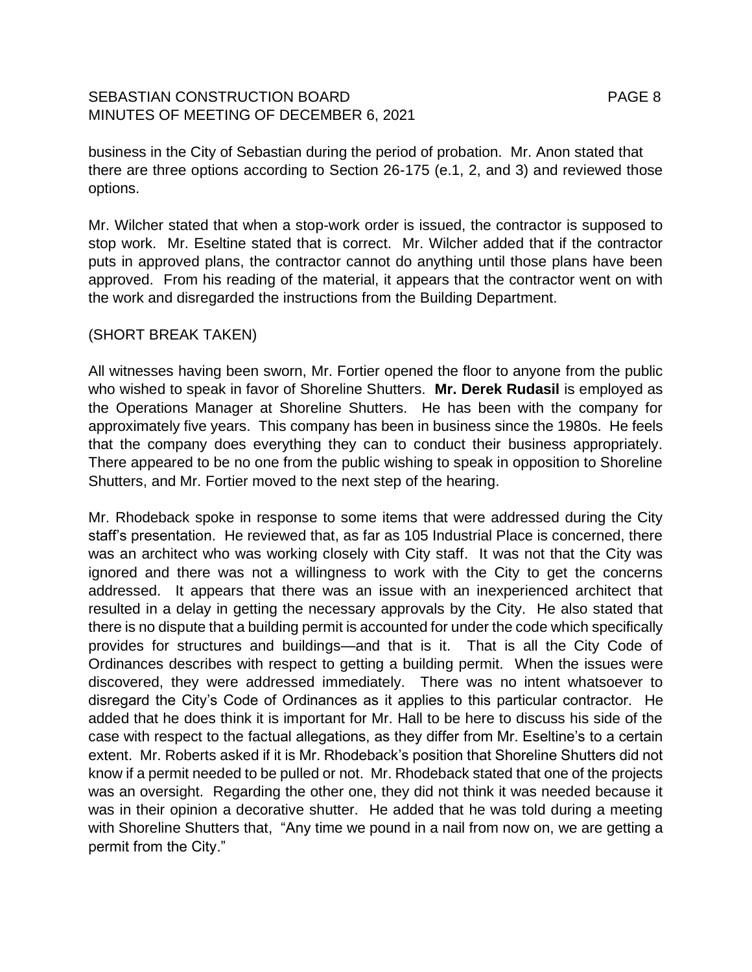# SEBASTIAN CONSTRUCTION BOARD PAGE 8 MINUTES OF MEETING OF DECEMBER 6, 2021

business in the City of Sebastian during the period of probation. Mr. Anon stated that there are three options according to Section 26-175 (e.1, 2, and 3) and reviewed those options.

Mr. Wilcher stated that when a stop-work order is issued, the contractor is supposed to stop work. Mr. Eseltine stated that is correct. Mr. Wilcher added that if the contractor puts in approved plans, the contractor cannot do anything until those plans have been approved. From his reading of the material, it appears that the contractor went on with the work and disregarded the instructions from the Building Department.

# (SHORT BREAK TAKEN)

All witnesses having been sworn, Mr. Fortier opened the floor to anyone from the public who wished to speak in favor of Shoreline Shutters. **Mr. Derek Rudasil** is employed as the Operations Manager at Shoreline Shutters. He has been with the company for approximately five years. This company has been in business since the 1980s. He feels that the company does everything they can to conduct their business appropriately. There appeared to be no one from the public wishing to speak in opposition to Shoreline Shutters, and Mr. Fortier moved to the next step of the hearing.

Mr. Rhodeback spoke in response to some items that were addressed during the City staff's presentation. He reviewed that, as far as 105 Industrial Place is concerned, there was an architect who was working closely with City staff. It was not that the City was ignored and there was not a willingness to work with the City to get the concerns addressed. It appears that there was an issue with an inexperienced architect that resulted in a delay in getting the necessary approvals by the City. He also stated that there is no dispute that a building permit is accounted for under the code which specifically provides for structures and buildings—and that is it. That is all the City Code of Ordinances describes with respect to getting a building permit. When the issues were discovered, they were addressed immediately. There was no intent whatsoever to disregard the City's Code of Ordinances as it applies to this particular contractor. He added that he does think it is important for Mr. Hall to be here to discuss his side of the case with respect to the factual allegations, as they differ from Mr. Eseltine's to a certain extent. Mr. Roberts asked if it is Mr. Rhodeback's position that Shoreline Shutters did not know if a permit needed to be pulled or not. Mr. Rhodeback stated that one of the projects was an oversight. Regarding the other one, they did not think it was needed because it was in their opinion a decorative shutter. He added that he was told during a meeting with Shoreline Shutters that, "Any time we pound in a nail from now on, we are getting a permit from the City."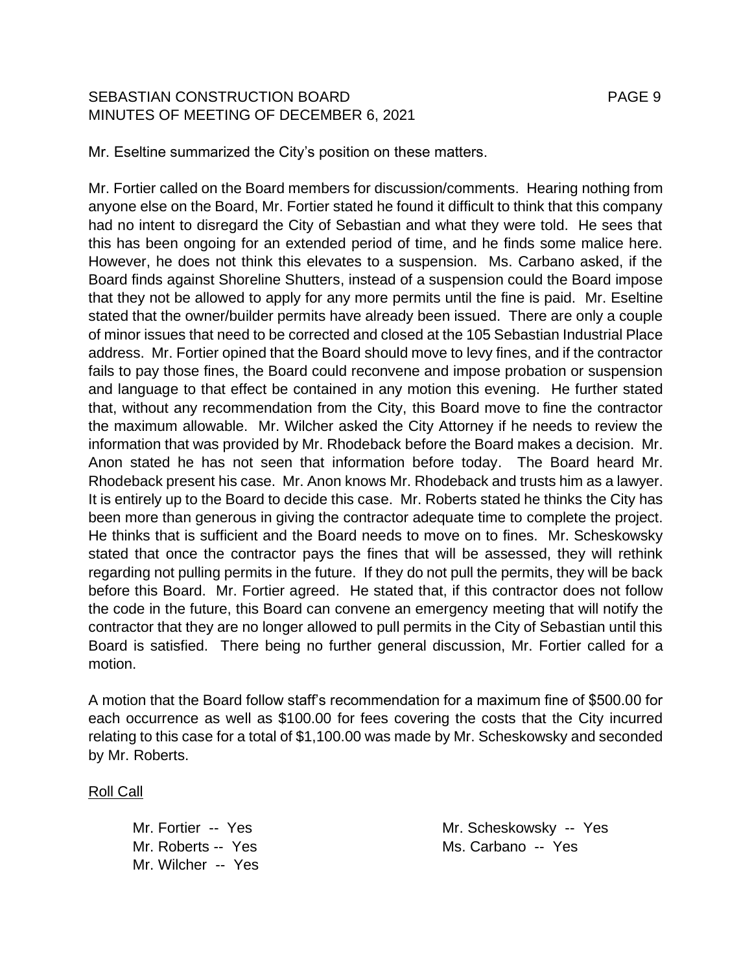# SEBASTIAN CONSTRUCTION BOARD FAGE 9 MINUTES OF MEETING OF DECEMBER 6, 2021

Mr. Eseltine summarized the City's position on these matters.

Mr. Fortier called on the Board members for discussion/comments. Hearing nothing from anyone else on the Board, Mr. Fortier stated he found it difficult to think that this company had no intent to disregard the City of Sebastian and what they were told. He sees that this has been ongoing for an extended period of time, and he finds some malice here. However, he does not think this elevates to a suspension. Ms. Carbano asked, if the Board finds against Shoreline Shutters, instead of a suspension could the Board impose that they not be allowed to apply for any more permits until the fine is paid. Mr. Eseltine stated that the owner/builder permits have already been issued. There are only a couple of minor issues that need to be corrected and closed at the 105 Sebastian Industrial Place address. Mr. Fortier opined that the Board should move to levy fines, and if the contractor fails to pay those fines, the Board could reconvene and impose probation or suspension and language to that effect be contained in any motion this evening. He further stated that, without any recommendation from the City, this Board move to fine the contractor the maximum allowable. Mr. Wilcher asked the City Attorney if he needs to review the information that was provided by Mr. Rhodeback before the Board makes a decision. Mr. Anon stated he has not seen that information before today. The Board heard Mr. Rhodeback present his case. Mr. Anon knows Mr. Rhodeback and trusts him as a lawyer. It is entirely up to the Board to decide this case. Mr. Roberts stated he thinks the City has been more than generous in giving the contractor adequate time to complete the project. He thinks that is sufficient and the Board needs to move on to fines. Mr. Scheskowsky stated that once the contractor pays the fines that will be assessed, they will rethink regarding not pulling permits in the future. If they do not pull the permits, they will be back before this Board. Mr. Fortier agreed. He stated that, if this contractor does not follow the code in the future, this Board can convene an emergency meeting that will notify the contractor that they are no longer allowed to pull permits in the City of Sebastian until this Board is satisfied. There being no further general discussion, Mr. Fortier called for a motion.

A motion that the Board follow staff's recommendation for a maximum fine of \$500.00 for each occurrence as well as \$100.00 for fees covering the costs that the City incurred relating to this case for a total of \$1,100.00 was made by Mr. Scheskowsky and seconded by Mr. Roberts.

Roll Call

Mr. Wilcher -- Yes

Mr. Fortier -- Yes Mr. Scheskowsky -- Yes Mr. Roberts -- Yes Ms. Carbano -- Yes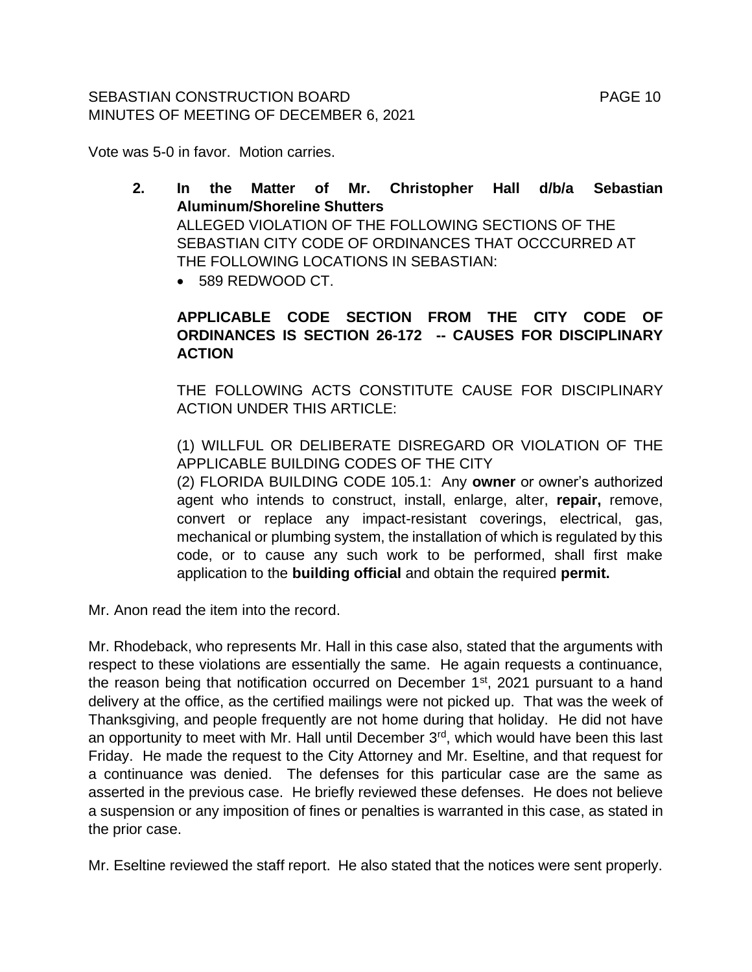## SEBASTIAN CONSTRUCTION BOARD FAGE 10 MINUTES OF MEETING OF DECEMBER 6, 2021

Vote was 5-0 in favor. Motion carries.

- **2. In the Matter of Mr. Christopher Hall d/b/a Sebastian Aluminum/Shoreline Shutters** ALLEGED VIOLATION OF THE FOLLOWING SECTIONS OF THE SEBASTIAN CITY CODE OF ORDINANCES THAT OCCCURRED AT THE FOLLOWING LOCATIONS IN SEBASTIAN:
	- 589 REDWOOD CT.

# **APPLICABLE CODE SECTION FROM THE CITY CODE OF ORDINANCES IS SECTION 26-172 -- CAUSES FOR DISCIPLINARY ACTION**

THE FOLLOWING ACTS CONSTITUTE CAUSE FOR DISCIPLINARY ACTION UNDER THIS ARTICLE:

(1) WILLFUL OR DELIBERATE DISREGARD OR VIOLATION OF THE APPLICABLE BUILDING CODES OF THE CITY

(2) FLORIDA BUILDING CODE 105.1: Any **owner** or owner's authorized agent who intends to construct, install, enlarge, alter, **repair,** remove, convert or replace any impact-resistant coverings, electrical, gas, mechanical or plumbing system, the installation of which is regulated by this code, or to cause any such work to be performed, shall first make application to the **building official** and obtain the required **permit.**

Mr. Anon read the item into the record.

Mr. Rhodeback, who represents Mr. Hall in this case also, stated that the arguments with respect to these violations are essentially the same. He again requests a continuance, the reason being that notification occurred on December 1<sup>st</sup>, 2021 pursuant to a hand delivery at the office, as the certified mailings were not picked up. That was the week of Thanksgiving, and people frequently are not home during that holiday. He did not have an opportunity to meet with Mr. Hall until December 3<sup>rd</sup>, which would have been this last Friday. He made the request to the City Attorney and Mr. Eseltine, and that request for a continuance was denied. The defenses for this particular case are the same as asserted in the previous case. He briefly reviewed these defenses. He does not believe a suspension or any imposition of fines or penalties is warranted in this case, as stated in the prior case.

Mr. Eseltine reviewed the staff report. He also stated that the notices were sent properly.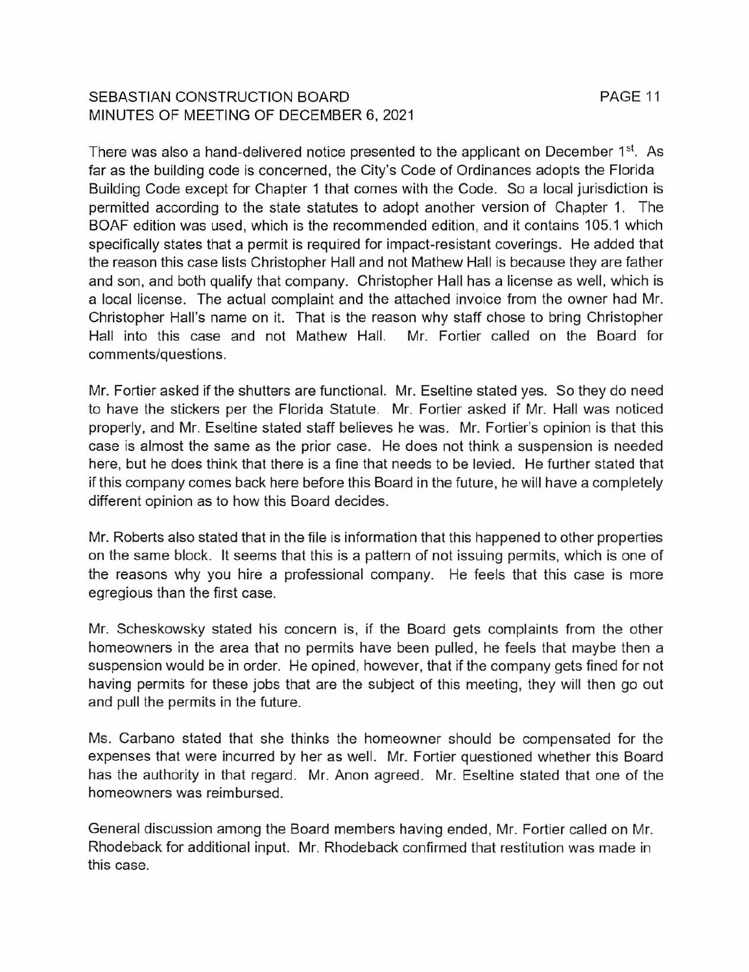# SEBASTIAN CONSTRUCTION BOARD MINUTES OF MEETING OF DECEMBER 6, 2021

There was also a hand-delivered notice presented to the applicant on December 1<sup>st</sup>. As far as the building code is concerned, the City's Code of Ordinances adopts the Florida Building Code except for Chapter 1 that comes with the Code. So a local jurisdiction is permitted according to the state statutes to adopt another version of Chapter 1. The BOAF edition was used, which is the recommended edition, and it contains 105.1 which specifically states that a permit is required for impact-resistant coverings. He added that the reason this case lists Christopher Hall and not Mathew Hall is because they are father and son, and both qualify that company. Christopher Hall has a license as well, which is a local license. The actual complaint and the attached invoice from the owner had Mr. Christopher Hall's name on it. That is the reason why staff chose to bring Christopher Hall into this case and not Mathew Hall. Mr. Fortier called on the Board for comments/questions.

Mr. Fortier asked if the shutters are functional. Mr. Eseltine stated yes. So they do need to have the stickers per the Florida Statute. Mr. Fortier asked if Mr. Hall was noticed properly, and Mr. Eseltine stated staff believes he was. Mr. Fortier's opinion is that this case is almost the same as the prior case. He does not think a suspension is needed here, but he does think that there is a fine that needs to be levied. He further stated that if this company comes back here before this Board in the future, he will have a completely different opinion as to how this Board decides.

Mr. Roberts also stated that in the file is information that this happened to other properties on the same block. It seems that this is a pattern of not issuing permits, which is one of the reasons why you hire a professional company. He feels that this case is more egregious than the first case.

Mr. Scheskowsky stated his concern is, if the Board gets complaints from the other homeowners in the area that no permits have been pulled, he feels that maybe then a suspension would be in order. He opined, however, that if the company gets fined for not having permits for these jobs that are the subject of this meeting, they will then go out and pull the permits in the future.

Ms. Carbano stated that she thinks the homeowner should be compensated for the expenses that were incurred by her as well. Mr. Fortier questioned whether this Board has the authority in that regard. Mr. Anon agreed. Mr. Eseltine stated that one of the homeowners was reimbursed.

General discussion among the Board members having ended, Mr. Fortier called on Mr. Rhodeback for additional input. Mr. Rhodeback confirmed that restitution was made in this case.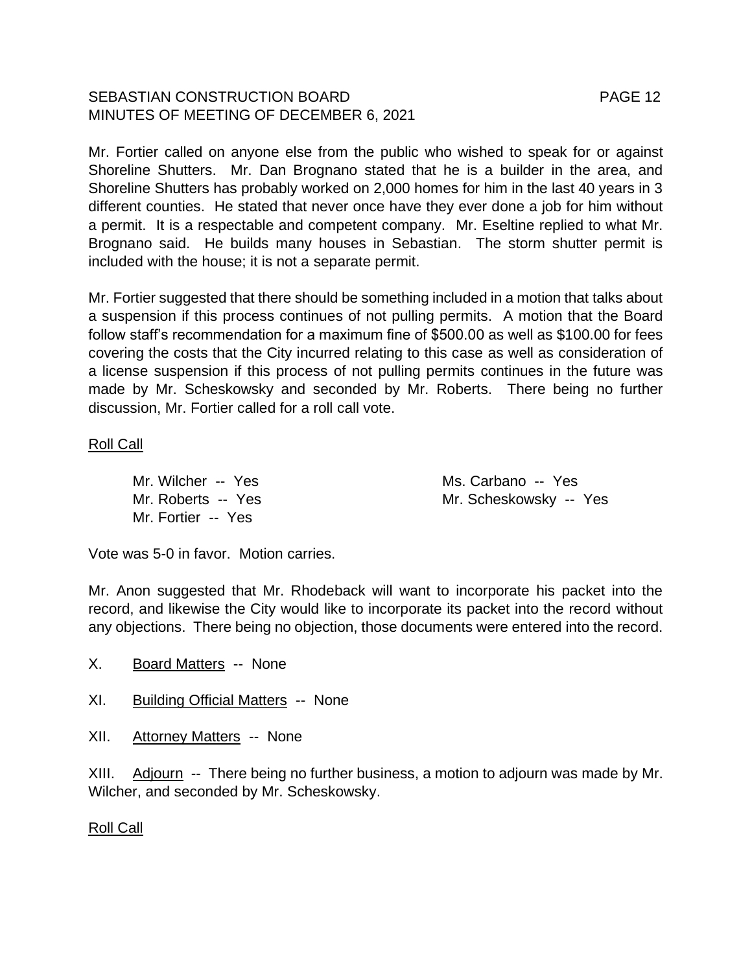# SEBASTIAN CONSTRUCTION BOARD FAGE 12 MINUTES OF MEETING OF DECEMBER 6, 2021

Mr. Fortier called on anyone else from the public who wished to speak for or against Shoreline Shutters. Mr. Dan Brognano stated that he is a builder in the area, and Shoreline Shutters has probably worked on 2,000 homes for him in the last 40 years in 3 different counties. He stated that never once have they ever done a job for him without a permit. It is a respectable and competent company. Mr. Eseltine replied to what Mr. Brognano said. He builds many houses in Sebastian. The storm shutter permit is included with the house; it is not a separate permit.

Mr. Fortier suggested that there should be something included in a motion that talks about a suspension if this process continues of not pulling permits. A motion that the Board follow staff's recommendation for a maximum fine of \$500.00 as well as \$100.00 for fees covering the costs that the City incurred relating to this case as well as consideration of a license suspension if this process of not pulling permits continues in the future was made by Mr. Scheskowsky and seconded by Mr. Roberts. There being no further discussion, Mr. Fortier called for a roll call vote.

# Roll Call

Mr. Fortier -- Yes

Mr. Wilcher -- Yes Ms. Carbano -- Yes Mr. Roberts -- Yes Mr. Scheskowsky -- Yes

Vote was 5-0 in favor. Motion carries.

Mr. Anon suggested that Mr. Rhodeback will want to incorporate his packet into the record, and likewise the City would like to incorporate its packet into the record without any objections. There being no objection, those documents were entered into the record.

- X. Board Matters -- None
- XI. Building Official Matters -- None
- XII. Attorney Matters -- None

XIII. Adjourn -- There being no further business, a motion to adjourn was made by Mr. Wilcher, and seconded by Mr. Scheskowsky.

## Roll Call